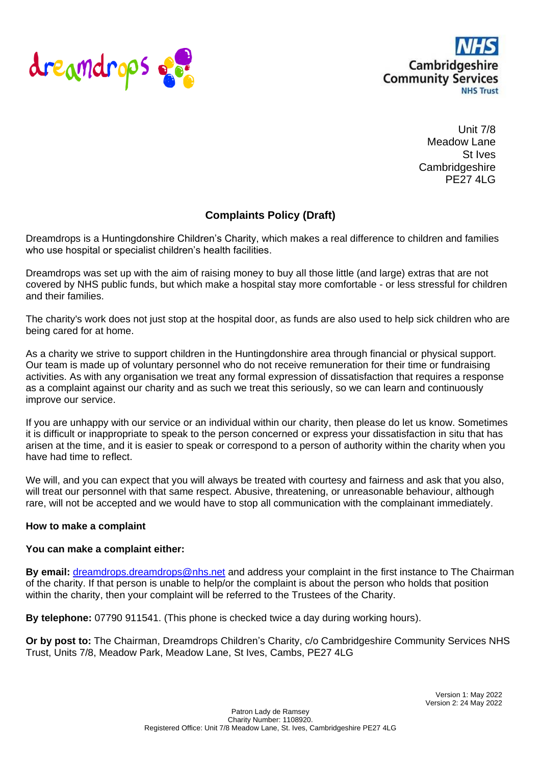



Unit 7/8 Meadow Lane St Ives **Cambridgeshire** PE27 4LG

## **Complaints Policy (Draft)**

Dreamdrops is a Huntingdonshire Children's Charity, which makes a real difference to children and families who use hospital or specialist children's health facilities.

Dreamdrops was set up with the aim of raising money to buy all those little (and large) extras that are not covered by NHS public funds, but which make a hospital stay more comfortable - or less stressful for children and their families.

The charity's work does not just stop at the hospital door, as funds are also used to help sick children who are being cared for at home.

As a charity we strive to support children in the Huntingdonshire area through financial or physical support. Our team is made up of voluntary personnel who do not receive remuneration for their time or fundraising activities. As with any organisation we treat any formal expression of dissatisfaction that requires a response as a complaint against our charity and as such we treat this seriously, so we can learn and continuously improve our service.

If you are unhappy with our service or an individual within our charity, then please do let us know. Sometimes it is difficult or inappropriate to speak to the person concerned or express your dissatisfaction in situ that has arisen at the time, and it is easier to speak or correspond to a person of authority within the charity when you have had time to reflect.

We will, and you can expect that you will always be treated with courtesy and fairness and ask that you also, will treat our personnel with that same respect. Abusive, threatening, or unreasonable behaviour, although rare, will not be accepted and we would have to stop all communication with the complainant immediately.

## **How to make a complaint**

## **You can make a complaint either:**

**By email:** [dreamdrops.dreamdrops@nhs.net](mailto:dreamdrops.dreamdrops@nhs.net) and address your complaint in the first instance to The Chairman of the charity. If that person is unable to help/or the complaint is about the person who holds that position within the charity, then your complaint will be referred to the Trustees of the Charity.

**By telephone:** 07790 911541. (This phone is checked twice a day during working hours).

**Or by post to:** The Chairman, Dreamdrops Children's Charity, c/o Cambridgeshire Community Services NHS Trust, Units 7/8, Meadow Park, Meadow Lane, St Ives, Cambs, PE27 4LG